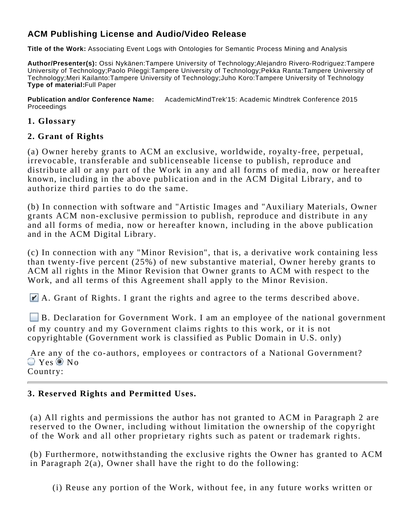# **ACM Publishing License and Audio/Video Release**

**Title of the Work:** Associating Event Logs with Ontologies for Semantic Process Mining and Analysis

**Author/Presenter(s):** Ossi Nykänen:Tampere University of Technology;Alejandro Rivero-Rodriguez:Tampere University of Technology;Paolo Pileggi:Tampere University of Technology;Pekka Ranta:Tampere University of Technology;Meri Kailanto:Tampere University of Technology;Juho Koro:Tampere University of Technology **Type of material:**Full Paper

**Publication and/or Conference Name:** AcademicMindTrek'15: Academic Mindtrek Conference 2015 Proceedings

#### **1. Glossary**

### **2. Grant of Rights**

(a) Owner hereby grants to ACM an exclusive, worldwide, royalty-free, perpetual, irrevocable, transferable and sublicenseable license to publish, reproduce and distribute all or any part of the Work in any and all forms of media, now or hereafter known, including in the above publication and in the ACM Digital Library, and to authorize third parties to do the same.

(b) In connection with software and "Artistic Images and "Auxiliary Materials, Owner grants ACM non-exclusive permission to publish, reproduce and distribute in any and all forms of media, now or hereafter known, including in the above publication and in the ACM Digital Library.

(c) In connection with any "Minor Revision", that is, a derivative work containing less than twenty-five percent (25%) of new substantive material, Owner hereby grants to ACM all rights in the Minor Revision that Owner grants to ACM with respect to the Work, and all terms of this Agreement shall apply to the Minor Revision.

A. Grant of Rights. I grant the rights and agree to the terms described above.

B. Declaration for Government Work. I am an employee of the national government of my country and my Government claims rights to this work, or it is not copyrightable (Government work is classified as Public Domain in U.S. only)

 Are any of the co-authors, employees or contractors of a National Government?  $\bigcirc$  Yes  $\bigcirc$  No. Country:

# **3. Reserved Rights and Permitted Uses.**

(a) All rights and permissions the author has not granted to ACM in Paragraph 2 are reserved to the Owner, including without limitation the ownership of the copyright of the Work and all other proprietary rights such as patent or trademark rights.

(b) Furthermore, notwithstanding the exclusive rights the Owner has granted to ACM in Paragraph 2(a), Owner shall have the right to do the following:

(i) Reuse any portion of the Work, without fee, in any future works written or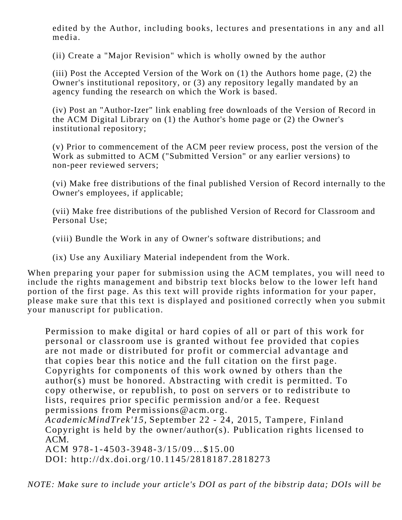edited by the Author, including books, lectures and presentations in any and all media.

(ii) Create a "Major Revision" which is wholly owned by the author

(iii) Post the Accepted Version of the Work on (1) the Authors home page, (2) the Owner's institutional repository, or (3) any repository legally mandated by an agency funding the research on which the Work is based.

(iv) Post an "Author-Izer" link enabling free downloads of the Version of Record in the ACM Digital Library on (1) the Author's home page or (2) the Owner's institutional repository;

(v) Prior to commencement of the ACM peer review process, post the version of the Work as submitted to ACM ("Submitted Version" or any earlier versions) to non-peer reviewed servers;

(vi) Make free distributions of the final published Version of Record internally to the Owner's employees, if applicable;

(vii) Make free distributions of the published Version of Record for Classroom and Personal Use;

(viii) Bundle the Work in any of Owner's software distributions; and

(ix) Use any Auxiliary Material independent from the Work.

When preparing your paper for submission using the ACM templates, you will need to include the rights management and bibstrip text blocks below to the lower left hand portion of the first page. As this text will provide rights information for your paper, please make sure that this text is displayed and positioned correctly when you submit your manuscript for publication.

Permission to make digital or hard copies of all or part of this work for personal or classroom use is granted without fee provided that copies are not made or distributed for profit or commercial advantage and that copies bear this notice and the full citation on the first page. Copyrights for components of this work owned by others than the author(s) must be honored. Abstracting with credit is permitted. To copy otherwise, or republish, to post on servers or to redistribute to lists, requires prior specific permission and/or a fee. Request permissions from Permissions@acm.org.

*AcademicMindTrek'15,* September 22 - 24, 2015, Tampere, Finland Copyright is held by the owner/author(s). Publication rights licensed to ACM.

ACM 978-1-4503-3948-3/15/09…\$15.00

DOI: http://dx.doi.org/10.1145/2818187.2818273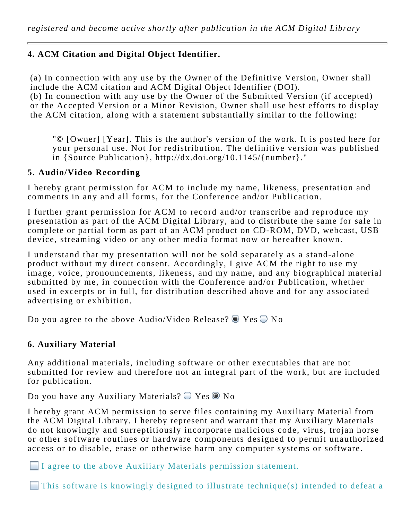# **4. ACM Citation and Digital Object Identifier.**

(a) In connection with any use by the Owner of the Definitive Version, Owner shall include the ACM citation and ACM Digital Object Identifier (DOI).

(b) In connection with any use by the Owner of the Submitted Version (if accepted) or the Accepted Version or a Minor Revision, Owner shall use best efforts to display the ACM citation, along with a statement substantially similar to the following:

"© [Owner] [Year]. This is the author's version of the work. It is posted here for your personal use. Not for redistribution. The definitive version was published in {Source Publication}, http://dx.doi.org/10.1145/{number}."

## **5. Audio/Video Recording**

I hereby grant permission for ACM to include my name, likeness, presentation and comments in any and all forms, for the Conference and/or Publication.

I further grant permission for ACM to record and/or transcribe and reproduce my presentation as part of the ACM Digital Library, and to distribute the same for sale in complete or partial form as part of an ACM product on CD-ROM, DVD, webcast, USB device, streaming video or any other media format now or hereafter known.

I understand that my presentation will not be sold separately as a stand-alone product without my direct consent. Accordingly, I give ACM the right to use my image, voice, pronouncements, likeness, and my name, and any biographical material submitted by me, in connection with the Conference and/or Publication, whether used in excerpts or in full, for distribution described above and for any associated advertising or exhibition.

Do you agree to the above Audio/Video Release?  $\bullet$  Yes  $\circ$  No

### **6. Auxiliary Material**

Any additional materials, including software or other executables that are not submitted for review and therefore not an integral part of the work, but are included for publication.

Do you have any Auxiliary Materials?  $\bigcirc$  Yes  $\bullet$  No

I hereby grant ACM permission to serve files containing my Auxiliary Material from the ACM Digital Library. I hereby represent and warrant that my Auxiliary Materials do not knowingly and surreptitiously incorporate malicious code, virus, trojan horse or other software routines or hardware components designed to permit unauthorized access or to disable, erase or otherwise harm any computer systems or software.

I agree to the above Auxiliary Materials permission statement.

This software is knowingly designed to illustrate technique(s) intended to defeat a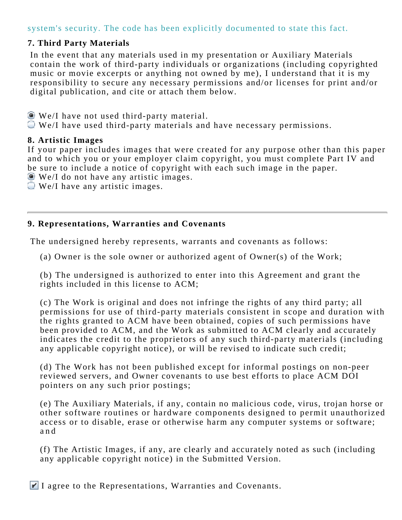# system's security. The code has been explicitly documented to state this fact.

# **7. Third Party Materials**

In the event that any materials used in my presentation or Auxiliary Materials contain the work of third-party individuals or organizations (including copyrighted music or movie excerpts or anything not owned by me), I understand that it is my responsibility to secure any necessary permissions and/or licenses for print and/or digital publication, and cite or attach them below.

- We/I have not used third-party material.
- We/I have used third-party materials and have necessary permissions.

#### **8. Artistic Images**

If your paper includes images that were created for any purpose other than this paper and to which you or your employer claim copyright, you must complete Part IV and be sure to include a notice of copyright with each such image in the paper.

- We/I do not have any artistic images.
- We/I have any artistic images.

## **9. Representations, Warranties and Covenants**

The undersigned hereby represents, warrants and covenants as follows:

(a) Owner is the sole owner or authorized agent of Owner(s) of the Work;

(b) The undersigned is authorized to enter into this Agreement and grant the rights included in this license to ACM;

(c) The Work is original and does not infringe the rights of any third party; all permissions for use of third-party materials consistent in scope and duration with the rights granted to ACM have been obtained, copies of such permissions have been provided to ACM, and the Work as submitted to ACM clearly and accurately indicates the credit to the proprietors of any such third-party materials (including any applicable copyright notice), or will be revised to indicate such credit;

(d) The Work has not been published except for informal postings on non-peer reviewed servers, and Owner covenants to use best efforts to place ACM DOI pointers on any such prior postings;

(e) The Auxiliary Materials, if any, contain no malicious code, virus, trojan horse or other software routines or hardware components designed to permit unauthorized access or to disable, erase or otherwise harm any computer systems or software; and

(f) The Artistic Images, if any, are clearly and accurately noted as such (including any applicable copyright notice) in the Submitted Version.

 $\blacktriangleright$  I agree to the Representations, Warranties and Covenants.